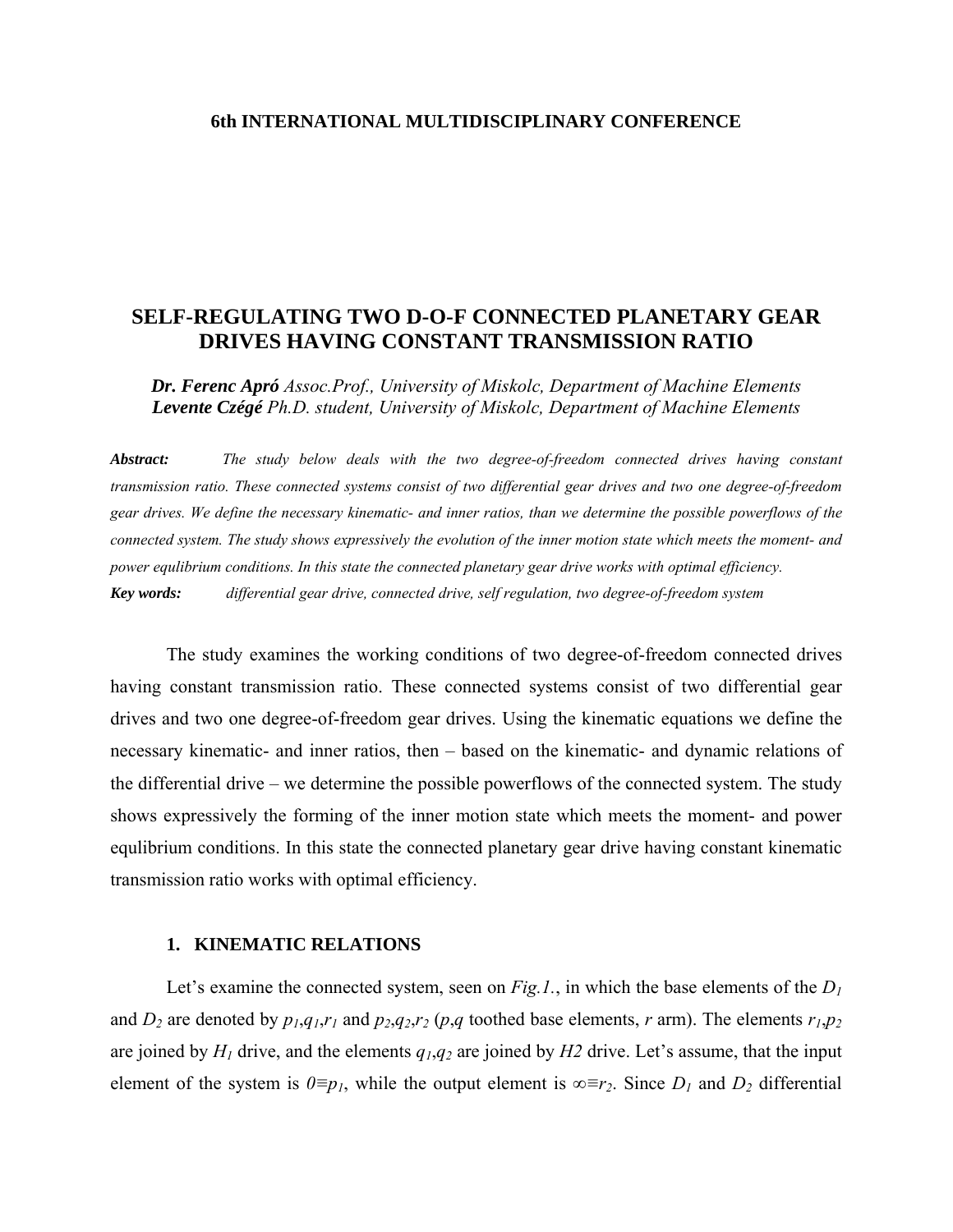## **6th INTERNATIONAL MULTIDISCIPLINARY CONFERENCE**

# **SELF-REGULATING TWO D-O-F CONNECTED PLANETARY GEAR DRIVES HAVING CONSTANT TRANSMISSION RATIO**

*Dr. Ferenc Apró Assoc.Prof., University of Miskolc, Department of Machine Elements Levente Czégé Ph.D. student, University of Miskolc, Department of Machine Elements* 

*Abstract: The study below deals with the two degree-of-freedom connected drives having constant transmission ratio. These connected systems consist of two differential gear drives and two one degree-of-freedom gear drives. We define the necessary kinematic- and inner ratios, than we determine the possible powerflows of the connected system. The study shows expressively the evolution of the inner motion state which meets the moment- and power equlibrium conditions. In this state the connected planetary gear drive works with optimal efficiency. Key words: differential gear drive, connected drive, self regulation, two degree-of-freedom system* 

The study examines the working conditions of two degree-of-freedom connected drives having constant transmission ratio. These connected systems consist of two differential gear drives and two one degree-of-freedom gear drives. Using the kinematic equations we define the necessary kinematic- and inner ratios, then – based on the kinematic- and dynamic relations of the differential drive – we determine the possible powerflows of the connected system. The study shows expressively the forming of the inner motion state which meets the moment- and power equlibrium conditions. In this state the connected planetary gear drive having constant kinematic transmission ratio works with optimal efficiency.

### **1. KINEMATIC RELATIONS**

Let's examine the connected system, seen on *Fig.1.*, in which the base elements of the *D1* and  $D_2$  are denoted by  $p_1, q_1, r_1$  and  $p_2, q_2, r_2$  ( $p, q$  toothed base elements,  $r$  arm). The elements  $r_1, p_2$ are joined by  $H_1$  drive, and the elements  $q_1$ , $q_2$  are joined by  $H_2$  drive. Let's assume, that the input element of the system is  $0 = p_1$ , while the output element is  $\infty = r_2$ . Since  $D_1$  and  $D_2$  differential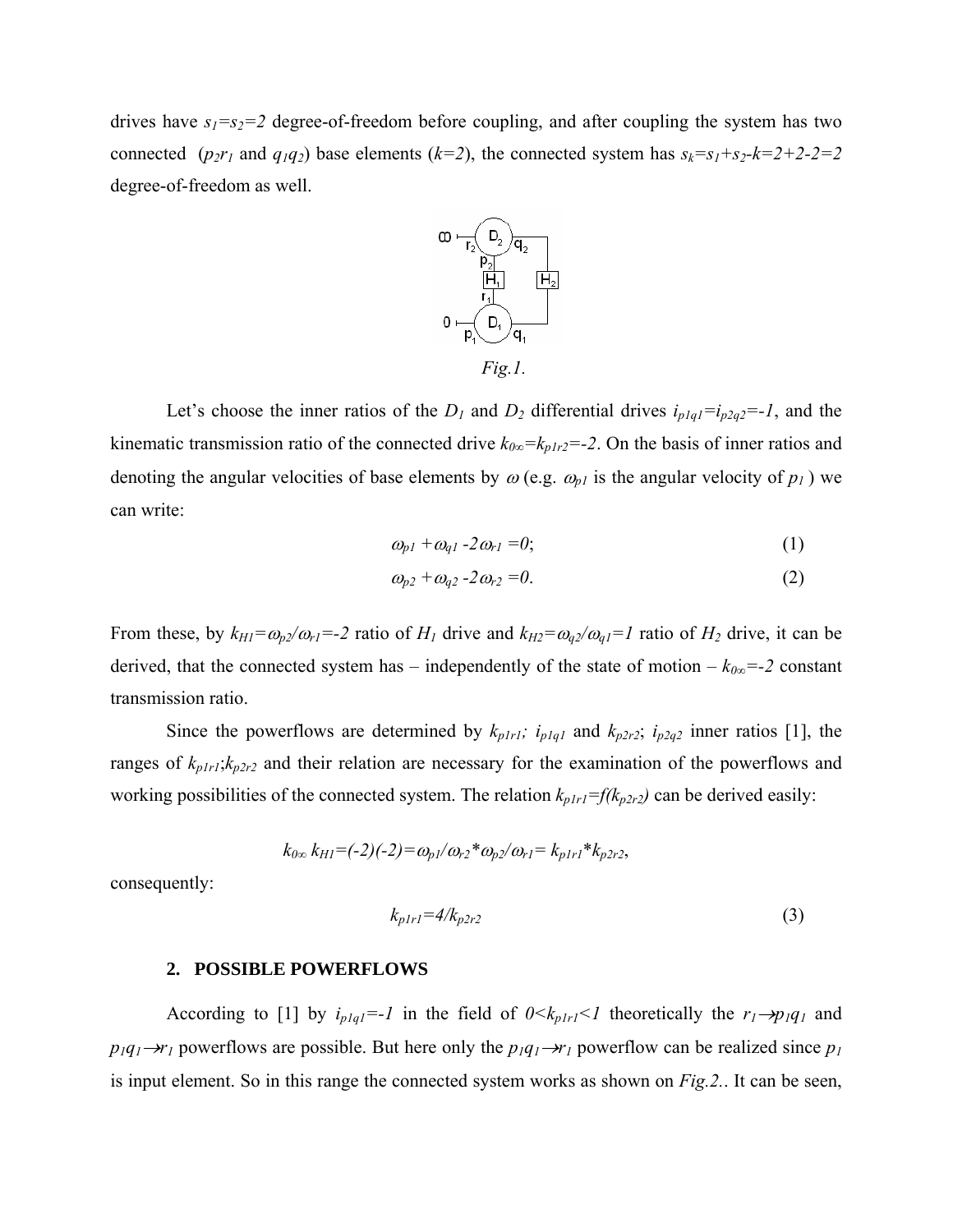drives have  $s_1 = s_2 = 2$  degree-of-freedom before coupling, and after coupling the system has two connected ( $p_2r_1$  and  $q_1q_2$ ) base elements ( $k=2$ ), the connected system has  $s_k=s_1+s_2-k=2+2-2=2$ degree-of-freedom as well.



Let's choose the inner ratios of the  $D_1$  and  $D_2$  differential drives  $i_{p1q1} = i_{p2q2} = -1$ , and the kinematic transmission ratio of the connected drive  $k_{0\infty} = k_{p1r2} = -2$ . On the basis of inner ratios and denoting the angular velocities of base elements by  $\omega$  (e.g.  $\omega_{p1}$  is the angular velocity of  $p_1$ ) we can write:

$$
\omega_{p1} + \omega_{q1} - 2\omega_{r1} = 0; \qquad (1)
$$

$$
\omega_{p2} + \omega_{q2} - 2\omega_{r2} = 0. \tag{2}
$$

From these, by  $k_{H1} = \omega_{p2}/\omega_{r1} = -2$  ratio of  $H_1$  drive and  $k_{H2} = \omega_{q2}/\omega_{q1} = 1$  ratio of  $H_2$  drive, it can be derived, that the connected system has – independently of the state of motion –  $k_{0\infty}$ =-2 constant transmission ratio.

Since the powerflows are determined by  $k_{p1r1}$ ;  $i_{p1q1}$  and  $k_{p2r2}$ ;  $i_{p2q2}$  inner ratios [1], the ranges of  $k_{p1r1}$ ; $k_{p2r2}$  and their relation are necessary for the examination of the powerflows and working possibilities of the connected system. The relation  $k_{p1r1} = f(k_{p2r2})$  can be derived easily:

$$
k_{0\infty} k_{H1} = (-2)(-2) = \omega_{p1}/\omega_{r2} * \omega_{p2}/\omega_{r1} = k_{p1r1} * k_{p2r2},
$$

consequently:

$$
k_{plrl} = 4/k_{p2r2} \tag{3}
$$

#### **2. POSSIBLE POWERFLOWS**

According to [1] by  $i_{p1q1}=-1$  in the field of  $0 \le k_{p1r1} \le 1$  theoretically the  $r_1 \rightarrow p_1q_1$  and  $p_1q_1 \rightarrow r_1$  powerflows are possible. But here only the  $p_1q_1 \rightarrow r_1$  powerflow can be realized since  $p_1$ is input element. So in this range the connected system works as shown on *Fig.2.*. It can be seen,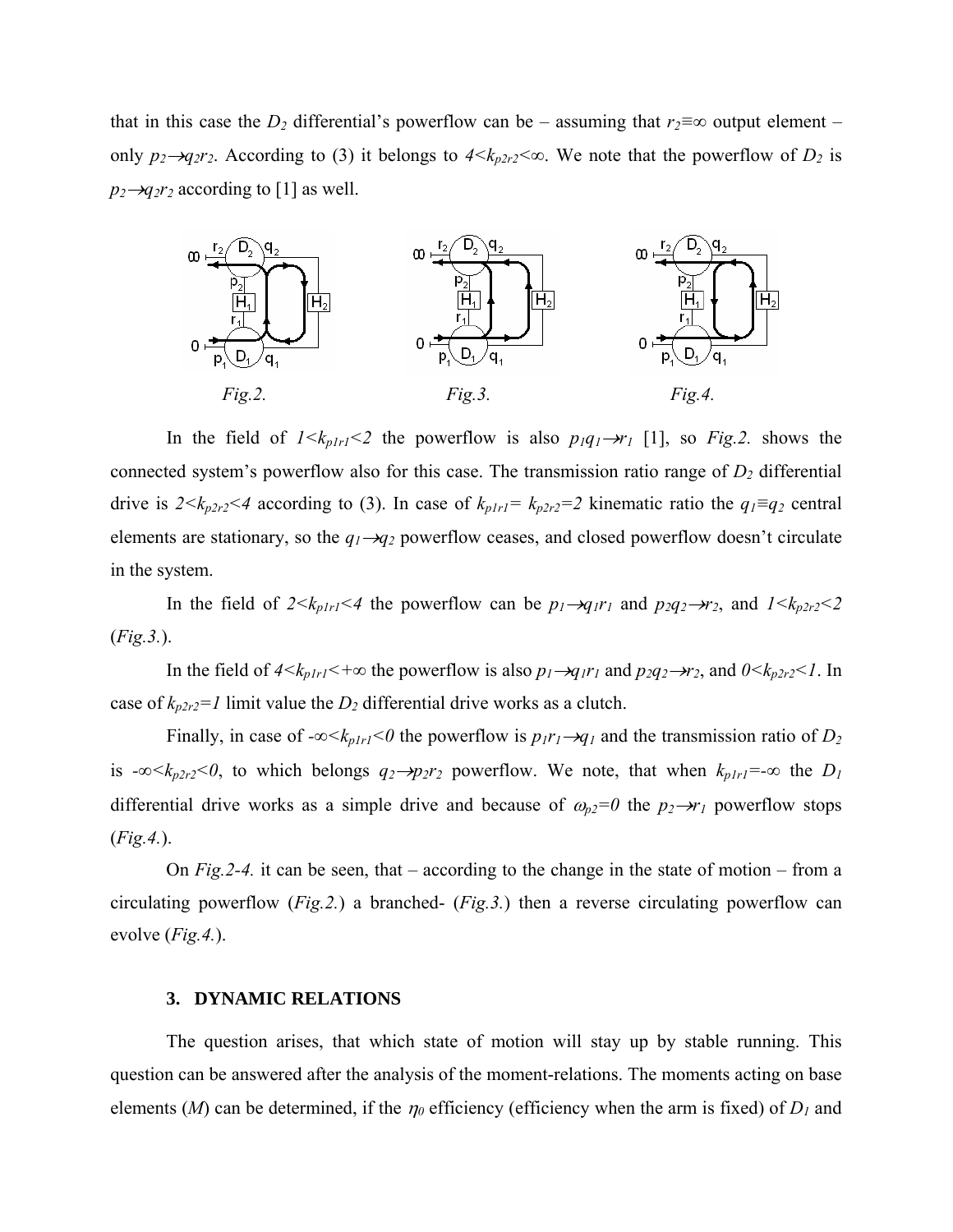that in this case the *D<sub>2</sub>* differential's powerflow can be – assuming that  $r_2 \equiv \infty$  output element – only  $p_2 \rightarrow q_2 r_2$ . According to (3) it belongs to  $4 \le k_{p2r2} \le \infty$ . We note that the powerflow of  $D_2$  is  $p_2 \rightarrow q_2 r_2$  according to [1] as well.



In the field of  $1 \le k_{p1r1} \le 2$  the powerflow is also  $p_1q_1 \rightarrow r_1$  [1], so *Fig.2.* shows the connected system's powerflow also for this case. The transmission ratio range of  $D<sub>2</sub>$  differential drive is  $2 \lt k_{p2r2} \lt 4$  according to (3). In case of  $k_{p1r1} = k_{p2r2} = 2$  kinematic ratio the  $q_1 \equiv q_2$  central elements are stationary, so the  $q_1 \rightarrow q_2$  powerflow ceases, and closed powerflow doesn't circulate in the system.

In the field of  $2 \le k_{p1r1} \le 4$  the powerflow can be  $p_1 \rightarrow q_1r_1$  and  $p_2q_2 \rightarrow r_2$ , and  $1 \le k_{p2r2} \le 2$ (*Fig.3.*).

In the field of  $4 \le k_{p1r1} \le +\infty$  the powerflow is also  $p_1 \rightarrow q_1r_1$  and  $p_2q_2 \rightarrow r_2$ , and  $0 \le k_{p2r2} \le l$ . In case of  $k_{p2r2}=1$  limit value the  $D_2$  differential drive works as a clutch.

Finally, in case of  $-\infty < k_{p1r1} < 0$  the powerflow is  $p_1r_1 \rightarrow q_1$  and the transmission ratio of  $D_2$ is  $-\infty < k_{p2r2} < 0$ , to which belongs  $q_2 \rightarrow p_2r_2$  powerflow. We note, that when  $k_{p1r1} = -\infty$  the  $D_1$ differential drive works as a simple drive and because of  $\omega_{p2}=0$  the  $p_2 \rightarrow r_1$  powerflow stops (*Fig.4.*).

 On *Fig.2-4.* it can be seen, that – according to the change in the state of motion – from a circulating powerflow (*Fig.2.*) a branched- (*Fig.3.*) then a reverse circulating powerflow can evolve (*Fig.4.*).

### **3. DYNAMIC RELATIONS**

The question arises, that which state of motion will stay up by stable running. This question can be answered after the analysis of the moment-relations. The moments acting on base elements (*M*) can be determined, if the  $\eta_0$  efficiency (efficiency when the arm is fixed) of  $D_1$  and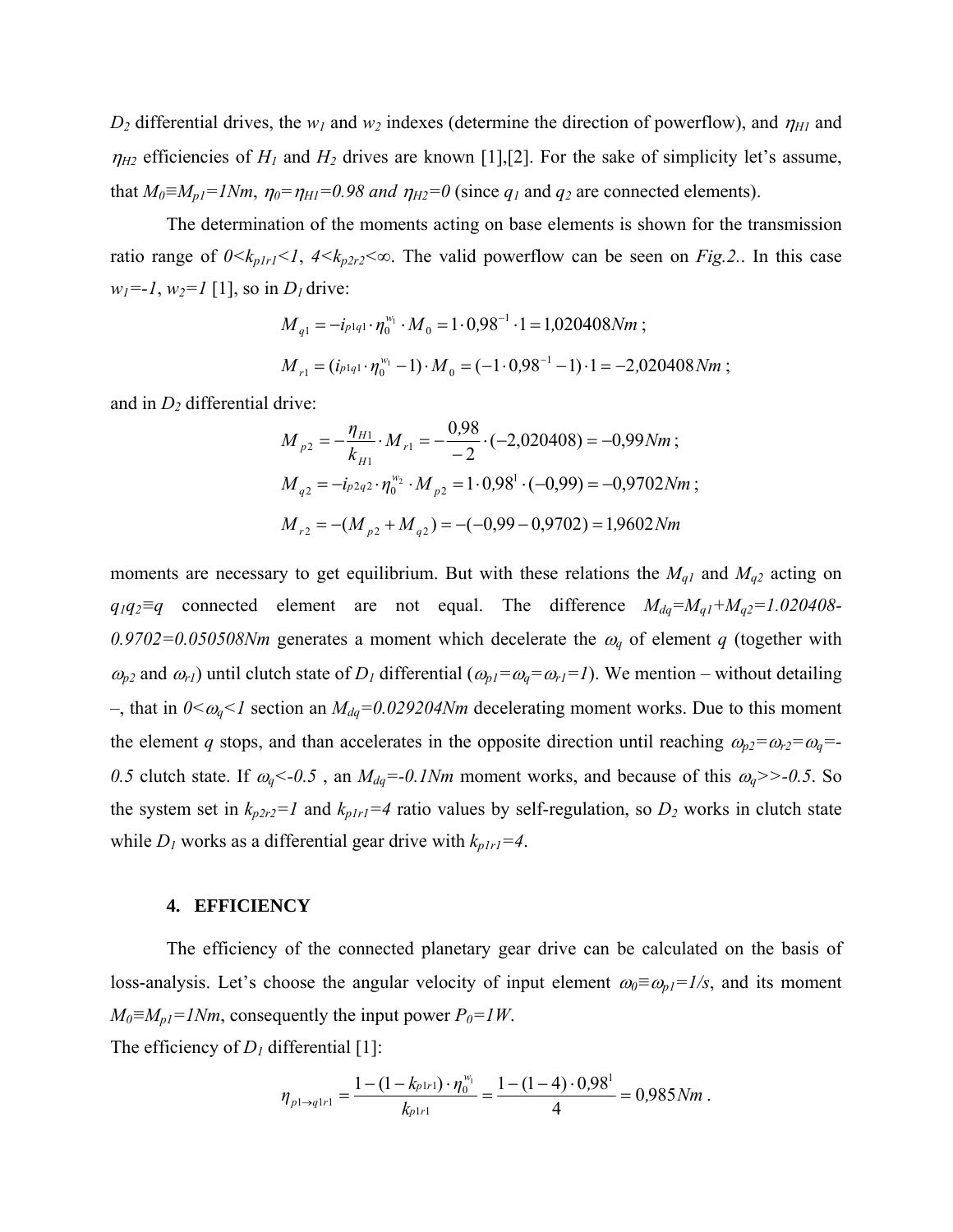$D_2$  differential drives, the  $w_1$  and  $w_2$  indexes (determine the direction of powerflow), and  $\eta_{H1}$  and  $\eta_{H2}$  efficiencies of  $H_1$  and  $H_2$  drives are known [1], [2]. For the sake of simplicity let's assume, that  $M_0 \equiv M_{pl} = 1Nm$ ,  $\eta_0 = \eta_{HI} = 0.98$  and  $\eta_{H2} = 0$  (since  $q_1$  and  $q_2$  are connected elements).

The determination of the moments acting on base elements is shown for the transmission ratio range of  $0 \le k_{p1r1} \le 1$ ,  $4 \le k_{p2r2} \le \infty$ . The valid powerflow can be seen on *Fig.2.*. In this case  $w_1 = -1$ ,  $w_2 = 1$  [1], so in  $D_1$  drive:

$$
M_{q1} = -i_{p1q1} \cdot \eta_0^{w_1} \cdot M_0 = 1 \cdot 0.98^{-1} \cdot 1 = 1.020408Nm ;
$$
  
\n
$$
M_{r1} = (i_{p1q1} \cdot \eta_0^{w_1} - 1) \cdot M_0 = (-1 \cdot 0.98^{-1} - 1) \cdot 1 = -2.020408Nm ;
$$

and in *D2* differential drive:

$$
M_{p2} = -\frac{\eta_{H1}}{k_{H1}} \cdot M_{r1} = -\frac{0.98}{-2} \cdot (-2.020408) = -0.99 Nm ;
$$
  
\n
$$
M_{q2} = -i_{p2q2} \cdot \eta_0^{w_2} \cdot M_{p2} = 1 \cdot 0.98^{1} \cdot (-0.99) = -0.9702 Nm ;
$$
  
\n
$$
M_{r2} = -(M_{p2} + M_{q2}) = -(-0.99 - 0.9702) = 1.9602 Nm
$$

moments are necessary to get equilibrium. But with these relations the *Mq1* and *Mq2* acting on *q*<sub>1</sub>*q*<sub>2</sub>≡*q* connected element are not equal. The difference *M*<sub>dq</sub>=*M*<sub>q</sub><sub>1</sub>+*M*<sub>q</sub><sub>2</sub>=1.020408- $0.9702=0.050508Nm$  generates a moment which decelerate the  $\omega_q$  of element *q* (together with  $\omega_{p2}$  and  $\omega_{r1}$ ) until clutch state of  $D_1$  differential  $(\omega_{p1} = \omega_q = \omega_{r1} = 1)$ . We mention – without detailing –, that in  $0 \le \omega_q \le 1$  section an  $M_{dq} = 0.029204 Nm$  decelerating moment works. Due to this moment the element *q* stops, and than accelerates in the opposite direction until reaching  $\omega_{p2} = \omega_{r2} = \omega_q =$ -0.5 clutch state. If  $\omega_q < -0.5$ , an  $M_{dq} = -0.1Nm$  moment works, and because of this  $\omega_q > -0.5$ . So the system set in  $k_{p2r2}=1$  and  $k_{p1r1}=4$  ratio values by self-regulation, so  $D_2$  works in clutch state while  $D_l$  works as a differential gear drive with  $k_{p1rl}=4$ .

### **4. EFFICIENCY**

The efficiency of the connected planetary gear drive can be calculated on the basis of loss-analysis. Let's choose the angular velocity of input element  $\omega_0 \equiv \omega_{p1} = 1/s$ , and its moment  $M_0 \equiv M_{pl} = 1Nm$ , consequently the input power  $P_0 = 1W$ .

The efficiency of  $D_l$  differential [1]:

$$
\eta_{p1\rightarrow q1r1}=\frac{1-(1-k_{p1r1})\cdot\eta_0^{w_1}}{k_{p1r1}}=\frac{1-(1-4)\cdot 0.98^1}{4}=0.985Nm.
$$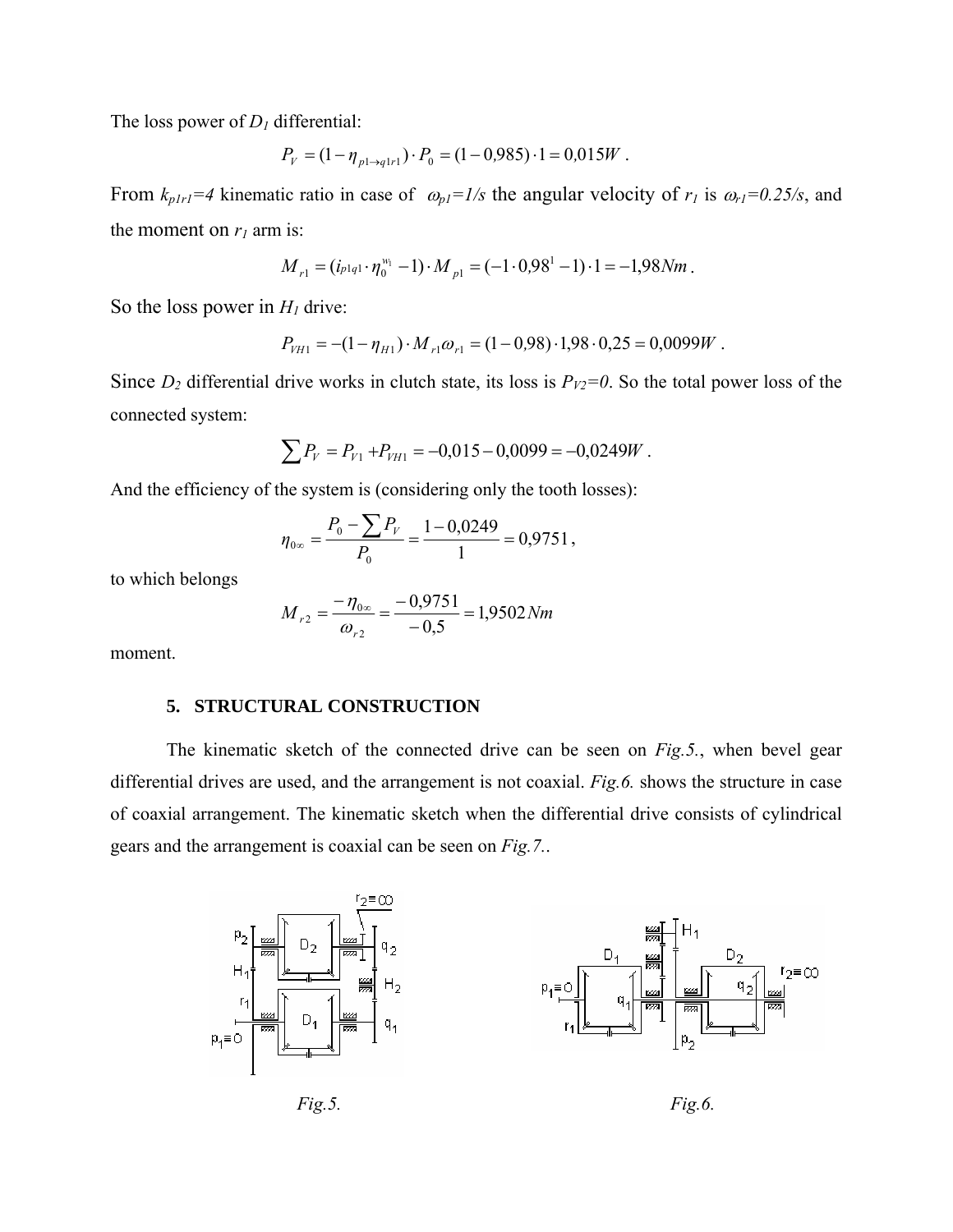The loss power of  $D_1$  differential:

$$
P_V = (1 - \eta_{p1 \to q1r1}) \cdot P_0 = (1 - 0.985) \cdot 1 = 0.015W.
$$

From  $k_{p1r1}$ =4 kinematic ratio in case of  $\omega_{p1}$ =1/s the angular velocity of  $r_1$  is  $\omega_{r1}$ =0.25/s, and the moment on  $r_1$  arm is:

$$
M_{r1} = (i_{p1q1} \cdot \eta_0^{w_1} - 1) \cdot M_{p1} = (-1 \cdot 0.98^1 - 1) \cdot 1 = -1.98 Nm.
$$

So the loss power in *H1* drive:

$$
P_{VH1} = -(1 - \eta_{H1}) \cdot M_{r1} \omega_{r1} = (1 - 0.98) \cdot 1.98 \cdot 0.25 = 0.0099W.
$$

Since  $D_2$  differential drive works in clutch state, its loss is  $P_{V2}=0$ . So the total power loss of the connected system:

$$
\sum P_{V} = P_{V1} + P_{VH1} = -0.015 - 0.0099 = -0.0249W.
$$

And the efficiency of the system is (considering only the tooth losses):

$$
\eta_{0\infty} = \frac{P_0 - \sum P_V}{P_0} = \frac{1 - 0.0249}{1} = 0.9751,
$$

to which belongs

$$
M_{r2} = \frac{-\eta_{0\infty}}{\omega_{r2}} = \frac{-0.9751}{-0.5} = 1.9502 Nm
$$

moment.

#### **5. STRUCTURAL CONSTRUCTION**

The kinematic sketch of the connected drive can be seen on *Fig.5.*, when bevel gear differential drives are used, and the arrangement is not coaxial. *Fig.6.* shows the structure in case of coaxial arrangement. The kinematic sketch when the differential drive consists of cylindrical gears and the arrangement is coaxial can be seen on *Fig.7.*.